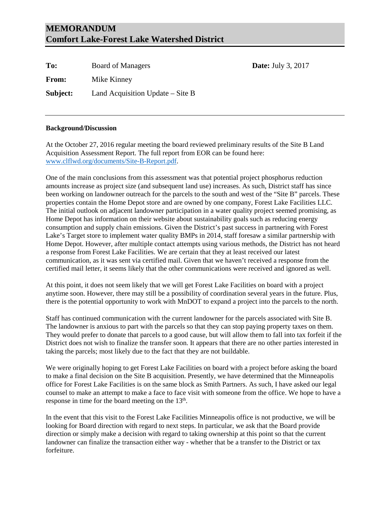# **MEMORANDUM Comfort Lake-Forest Lake Watershed District**

| To:          | <b>Board of Managers</b>           |
|--------------|------------------------------------|
| <b>From:</b> | Mike Kinney                        |
| Subject:     | Land Acquisition Update $-$ Site B |

### **Background/Discussion**

At the October 27, 2016 regular meeting the board reviewed preliminary results of the Site B Land Acquisition Assessment Report. The full report from EOR can be found here: [www.clflwd.org/documents/Site-B-Report.pdf.](http://www.clflwd.org/documents/Site-B-Report.pdf)

**Date:** July 3, 2017

One of the main conclusions from this assessment was that potential project phosphorus reduction amounts increase as project size (and subsequent land use) increases. As such, District staff has since been working on landowner outreach for the parcels to the south and west of the "Site B" parcels. These properties contain the Home Depot store and are owned by one company, Forest Lake Facilities LLC. The initial outlook on adjacent landowner participation in a water quality project seemed promising, as Home Depot has information on their website about sustainability goals such as reducing energy consumption and supply chain emissions. Given the District's past success in partnering with Forest Lake's Target store to implement water quality BMPs in 2014, staff foresaw a similar partnership with Home Depot. However, after multiple contact attempts using various methods, the District has not heard a response from Forest Lake Facilities. We are certain that they at least received our latest communication, as it was sent via certified mail. Given that we haven't received a response from the certified mail letter, it seems likely that the other communications were received and ignored as well.

At this point, it does not seem likely that we will get Forest Lake Facilities on board with a project anytime soon. However, there may still be a possibility of coordination several years in the future. Plus, there is the potential opportunity to work with MnDOT to expand a project into the parcels to the north.

Staff has continued communication with the current landowner for the parcels associated with Site B. The landowner is anxious to part with the parcels so that they can stop paying property taxes on them. They would prefer to donate that parcels to a good cause, but will allow them to fall into tax forfeit if the District does not wish to finalize the transfer soon. It appears that there are no other parties interested in taking the parcels; most likely due to the fact that they are not buildable.

We were originally hoping to get Forest Lake Facilities on board with a project before asking the board to make a final decision on the Site B acquisition. Presently, we have determined that the Minneapolis office for Forest Lake Facilities is on the same block as Smith Partners. As such, I have asked our legal counsel to make an attempt to make a face to face visit with someone from the office. We hope to have a response in time for the board meeting on the  $13<sup>th</sup>$ .

In the event that this visit to the Forest Lake Facilities Minneapolis office is not productive, we will be looking for Board direction with regard to next steps. In particular, we ask that the Board provide direction or simply make a decision with regard to taking ownership at this point so that the current landowner can finalize the transaction either way - whether that be a transfer to the District or tax forfeiture.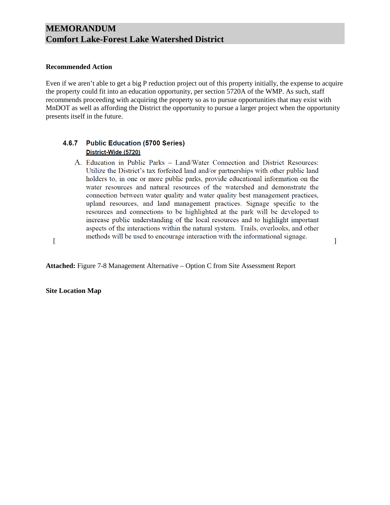## **MEMORANDUM Comfort Lake-Forest Lake Watershed District**

#### **Recommended Action**

Even if we aren't able to get a big P reduction project out of this property initially, the expense to acquire the property could fit into an education opportunity, per section 5720A of the WMP. As such, staff recommends proceeding with acquiring the property so as to pursue opportunities that may exist with MnDOT as well as affording the District the opportunity to pursue a larger project when the opportunity presents itself in the future.

#### **Public Education (5700 Series)** 4.6.7 District-Wide (5720)

A. Education in Public Parks - Land/Water Connection and District Resources: Utilize the District's tax forfeited land and/or partnerships with other public land holders to, in one or more public parks, provide educational information on the water resources and natural resources of the watershed and demonstrate the connection between water quality and water quality best management practices, upland resources, and land management practices. Signage specific to the resources and connections to be highlighted at the park will be developed to increase public understanding of the local resources and to highlight important aspects of the interactions within the natural system. Trails, overlooks, and other methods will be used to encourage interaction with the informational signage.

**Attached:** Figure 7-8 Management Alternative – Option C from Site Assessment Report

**Site Location Map**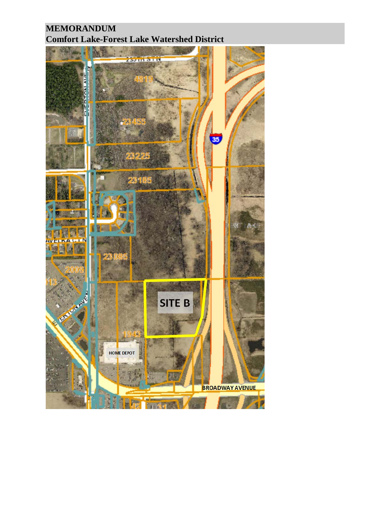# **MEMORANDUM Comfort Lake-Forest Lake Watershed District**